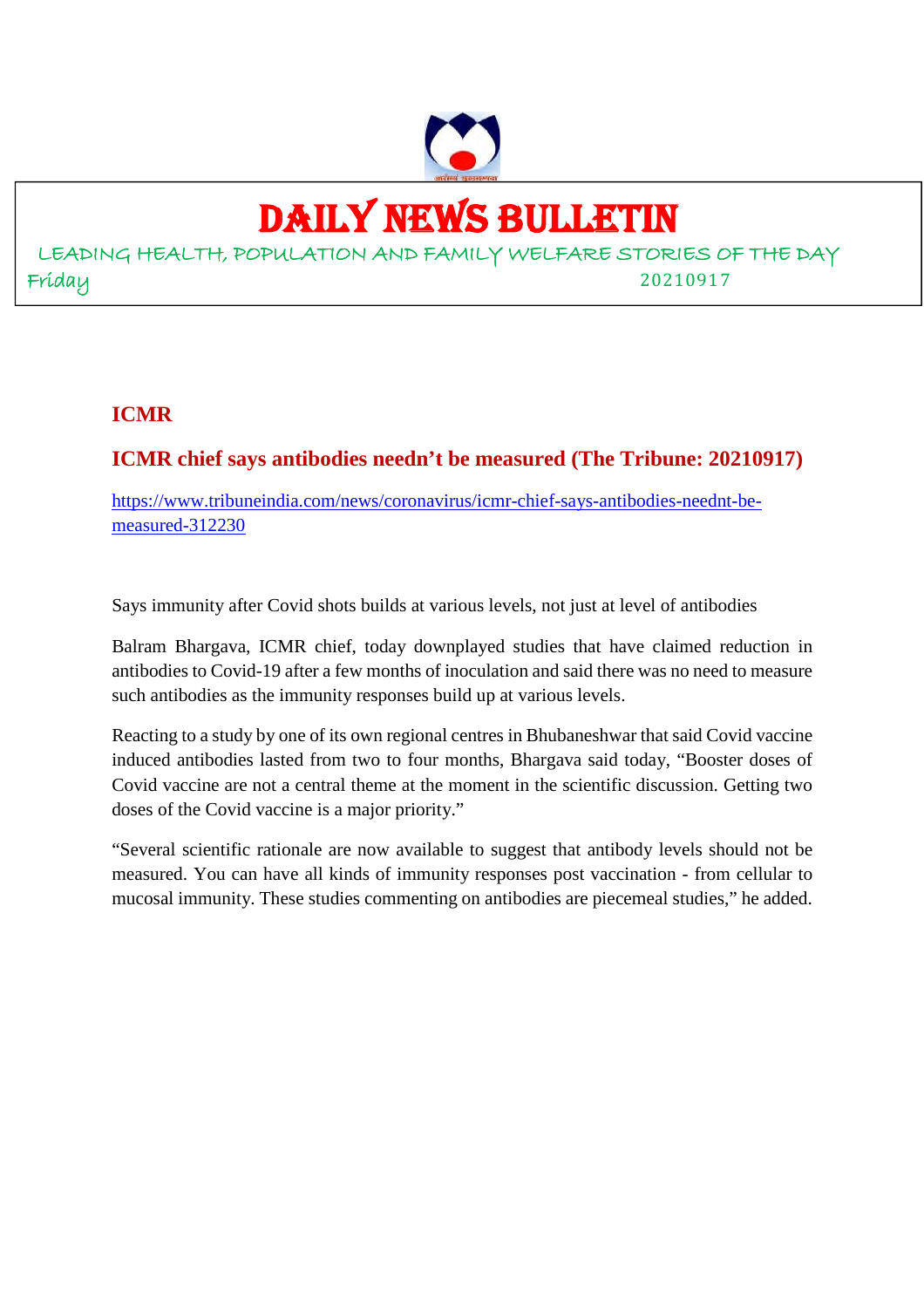

# DAILY NEWS BULLETIN

LEADING HEALTH, POPULATION AND FAMILY WELFARE STORIES OF THE DAY Friday 20210917

#### **ICMR**

#### **ICMR chief says antibodies needn't be measured (The Tribune: 20210917)**

https://www.tribuneindia.com/news/coronavirus/icmr-chief-says-antibodies-neednt-bemeasured-312230

Says immunity after Covid shots builds at various levels, not just at level of antibodies

Balram Bhargava, ICMR chief, today downplayed studies that have claimed reduction in antibodies to Covid-19 after a few months of inoculation and said there was no need to measure such antibodies as the immunity responses build up at various levels.

Reacting to a study by one of its own regional centres in Bhubaneshwar that said Covid vaccine induced antibodies lasted from two to four months, Bhargava said today, "Booster doses of Covid vaccine are not a central theme at the moment in the scientific discussion. Getting two doses of the Covid vaccine is a major priority."

"Several scientific rationale are now available to suggest that antibody levels should not be measured. You can have all kinds of immunity responses post vaccination - from cellular to mucosal immunity. These studies commenting on antibodies are piecemeal studies," he added.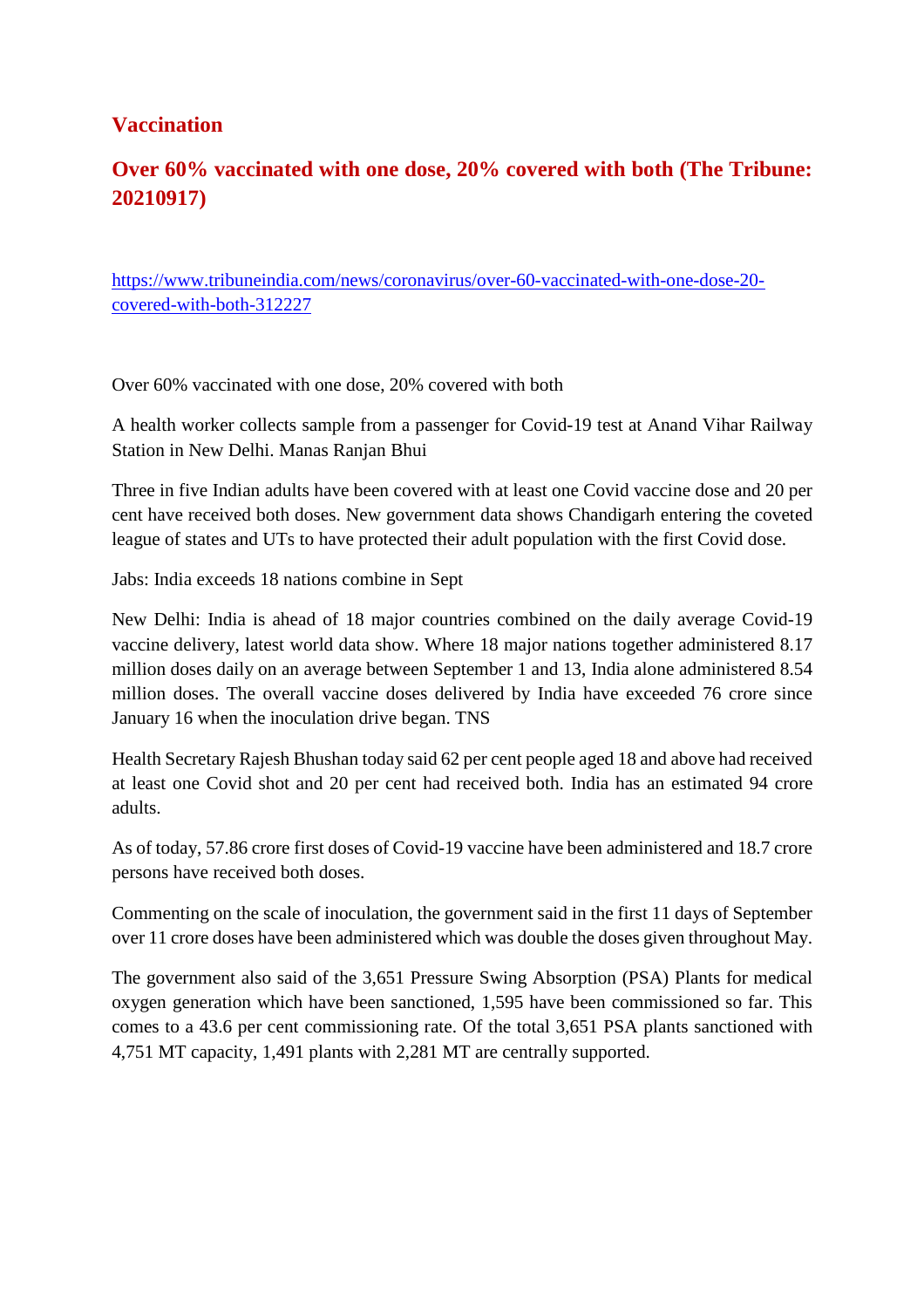#### **Vaccination**

#### **Over 60% vaccinated with one dose, 20% covered with both (The Tribune: 20210917)**

https://www.tribuneindia.com/news/coronavirus/over-60-vaccinated-with-one-dose-20 covered-with-both-312227

Over 60% vaccinated with one dose, 20% covered with both

A health worker collects sample from a passenger for Covid-19 test at Anand Vihar Railway Station in New Delhi. Manas Ranjan Bhui

Three in five Indian adults have been covered with at least one Covid vaccine dose and 20 per cent have received both doses. New government data shows Chandigarh entering the coveted league of states and UTs to have protected their adult population with the first Covid dose.

Jabs: India exceeds 18 nations combine in Sept

New Delhi: India is ahead of 18 major countries combined on the daily average Covid-19 vaccine delivery, latest world data show. Where 18 major nations together administered 8.17 million doses daily on an average between September 1 and 13, India alone administered 8.54 million doses. The overall vaccine doses delivered by India have exceeded 76 crore since January 16 when the inoculation drive began. TNS

Health Secretary Rajesh Bhushan today said 62 per cent people aged 18 and above had received at least one Covid shot and 20 per cent had received both. India has an estimated 94 crore adults.

As of today, 57.86 crore first doses of Covid-19 vaccine have been administered and 18.7 crore persons have received both doses.

Commenting on the scale of inoculation, the government said in the first 11 days of September over 11 crore doses have been administered which was double the doses given throughout May.

The government also said of the 3,651 Pressure Swing Absorption (PSA) Plants for medical oxygen generation which have been sanctioned, 1,595 have been commissioned so far. This comes to a 43.6 per cent commissioning rate. Of the total 3,651 PSA plants sanctioned with 4,751 MT capacity, 1,491 plants with 2,281 MT are centrally supported.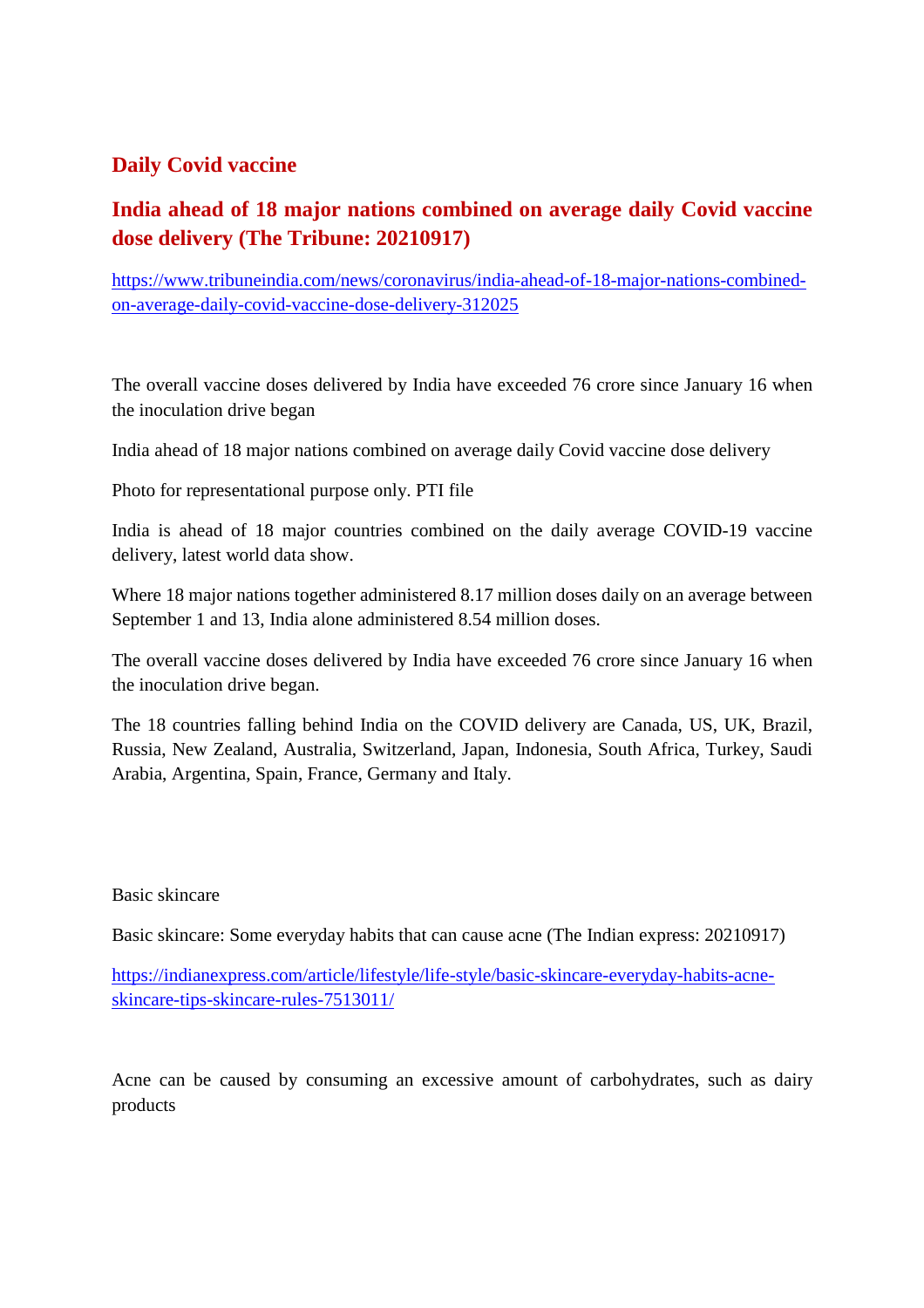#### **Daily Covid vaccine**

#### **India ahead of 18 major nations combined on average daily Covid vaccine dose delivery (The Tribune: 20210917)**

https://www.tribuneindia.com/news/coronavirus/india-ahead-of-18-major-nations-combinedon-average-daily-covid-vaccine-dose-delivery-312025

The overall vaccine doses delivered by India have exceeded 76 crore since January 16 when the inoculation drive began

India ahead of 18 major nations combined on average daily Covid vaccine dose delivery

Photo for representational purpose only. PTI file

India is ahead of 18 major countries combined on the daily average COVID-19 vaccine delivery, latest world data show.

Where 18 major nations together administered 8.17 million doses daily on an average between September 1 and 13, India alone administered 8.54 million doses.

The overall vaccine doses delivered by India have exceeded 76 crore since January 16 when the inoculation drive began.

The 18 countries falling behind India on the COVID delivery are Canada, US, UK, Brazil, Russia, New Zealand, Australia, Switzerland, Japan, Indonesia, South Africa, Turkey, Saudi Arabia, Argentina, Spain, France, Germany and Italy.

#### Basic skincare

Basic skincare: Some everyday habits that can cause acne (The Indian express: 20210917)

https://indianexpress.com/article/lifestyle/life-style/basic-skincare-everyday-habits-acneskincare-tips-skincare-rules-7513011/

Acne can be caused by consuming an excessive amount of carbohydrates, such as dairy products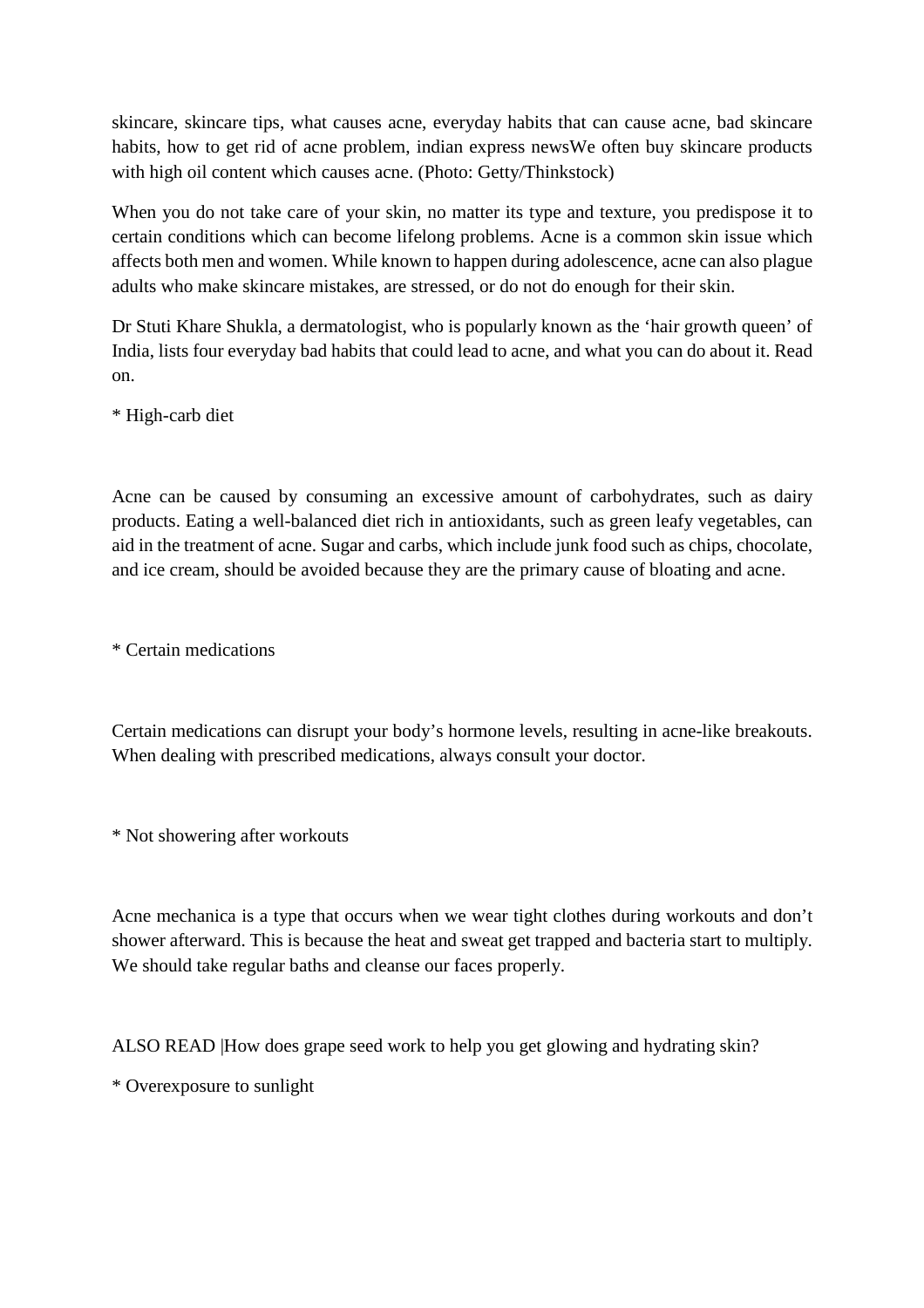skincare, skincare tips, what causes acne, everyday habits that can cause acne, bad skincare habits, how to get rid of acne problem, indian express newsWe often buy skincare products with high oil content which causes acne. (Photo: Getty/Thinkstock)

When you do not take care of your skin, no matter its type and texture, you predispose it to certain conditions which can become lifelong problems. Acne is a common skin issue which affects both men and women. While known to happen during adolescence, acne can also plague adults who make skincare mistakes, are stressed, or do not do enough for their skin.

Dr Stuti Khare Shukla, a dermatologist, who is popularly known as the 'hair growth queen' of India, lists four everyday bad habits that could lead to acne, and what you can do about it. Read on.

\* High-carb diet

Acne can be caused by consuming an excessive amount of carbohydrates, such as dairy products. Eating a well-balanced diet rich in antioxidants, such as green leafy vegetables, can aid in the treatment of acne. Sugar and carbs, which include junk food such as chips, chocolate, and ice cream, should be avoided because they are the primary cause of bloating and acne.

\* Certain medications

Certain medications can disrupt your body's hormone levels, resulting in acne-like breakouts. When dealing with prescribed medications, always consult your doctor.

\* Not showering after workouts

Acne mechanica is a type that occurs when we wear tight clothes during workouts and don't shower afterward. This is because the heat and sweat get trapped and bacteria start to multiply. We should take regular baths and cleanse our faces properly.

ALSO READ |How does grape seed work to help you get glowing and hydrating skin?

\* Overexposure to sunlight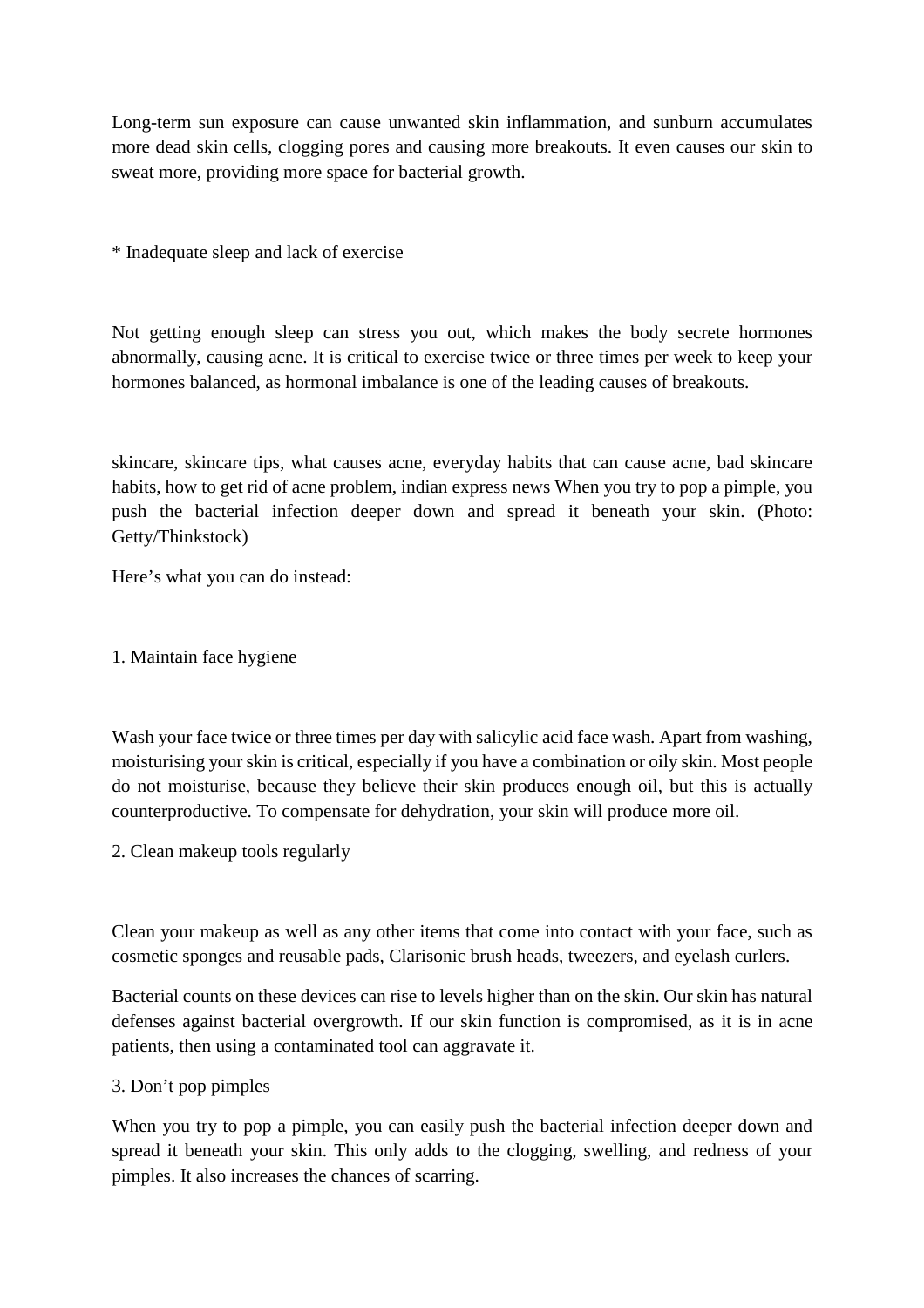Long-term sun exposure can cause unwanted skin inflammation, and sunburn accumulates more dead skin cells, clogging pores and causing more breakouts. It even causes our skin to sweat more, providing more space for bacterial growth.

\* Inadequate sleep and lack of exercise

Not getting enough sleep can stress you out, which makes the body secrete hormones abnormally, causing acne. It is critical to exercise twice or three times per week to keep your hormones balanced, as hormonal imbalance is one of the leading causes of breakouts.

skincare, skincare tips, what causes acne, everyday habits that can cause acne, bad skincare habits, how to get rid of acne problem, indian express news When you try to pop a pimple, you push the bacterial infection deeper down and spread it beneath your skin. (Photo: Getty/Thinkstock)

Here's what you can do instead:

1. Maintain face hygiene

Wash your face twice or three times per day with salicylic acid face wash. Apart from washing, moisturising your skin is critical, especially if you have a combination or oily skin. Most people do not moisturise, because they believe their skin produces enough oil, but this is actually counterproductive. To compensate for dehydration, your skin will produce more oil.

2. Clean makeup tools regularly

Clean your makeup as well as any other items that come into contact with your face, such as cosmetic sponges and reusable pads, Clarisonic brush heads, tweezers, and eyelash curlers.

Bacterial counts on these devices can rise to levels higher than on the skin. Our skin has natural defenses against bacterial overgrowth. If our skin function is compromised, as it is in acne patients, then using a contaminated tool can aggravate it.

#### 3. Don't pop pimples

When you try to pop a pimple, you can easily push the bacterial infection deeper down and spread it beneath your skin. This only adds to the clogging, swelling, and redness of your pimples. It also increases the chances of scarring.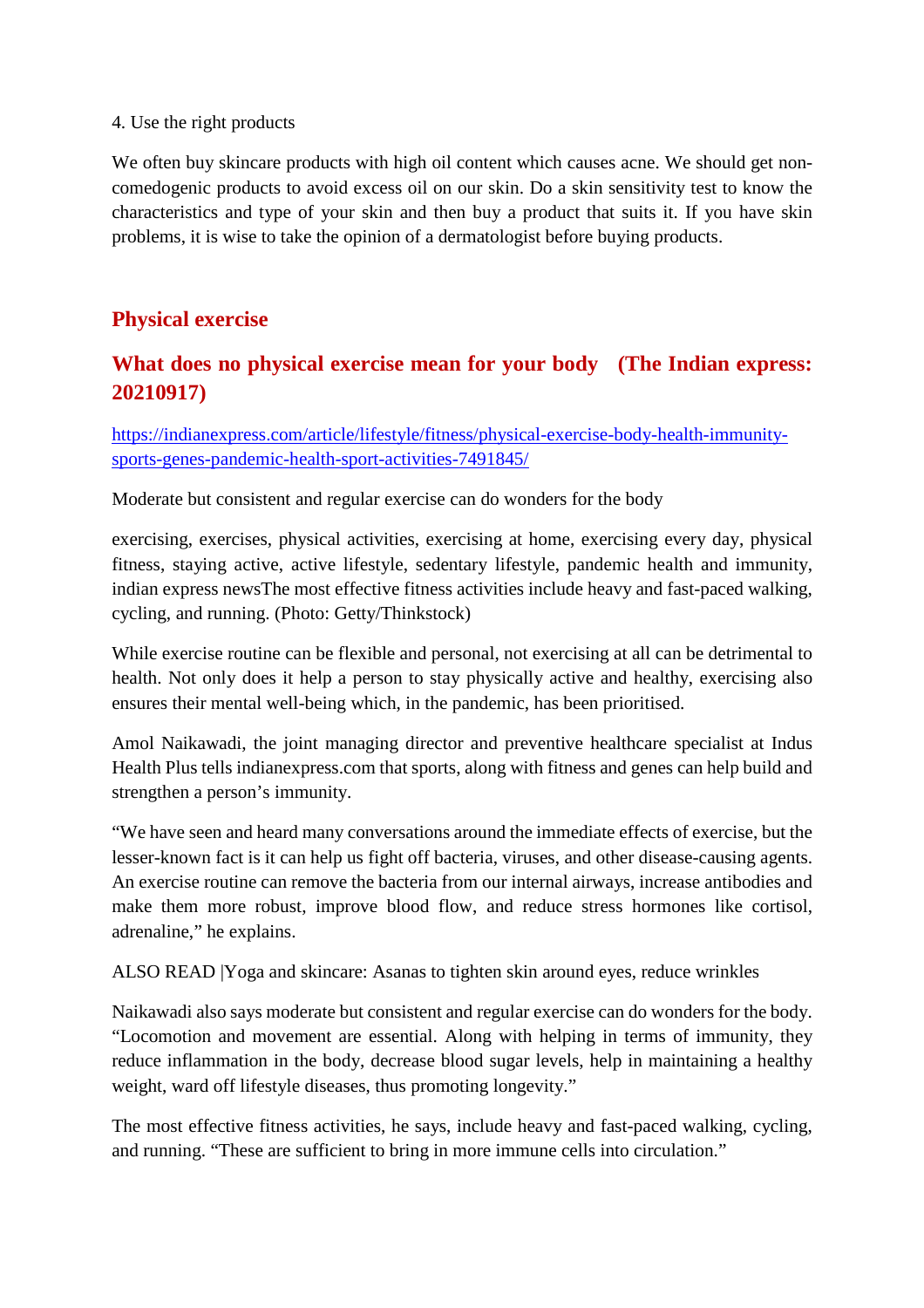#### 4. Use the right products

We often buy skincare products with high oil content which causes acne. We should get noncomedogenic products to avoid excess oil on our skin. Do a skin sensitivity test to know the characteristics and type of your skin and then buy a product that suits it. If you have skin problems, it is wise to take the opinion of a dermatologist before buying products.

#### **Physical exercise**

#### **What does no physical exercise mean for your body (The Indian express: 20210917)**

https://indianexpress.com/article/lifestyle/fitness/physical-exercise-body-health-immunitysports-genes-pandemic-health-sport-activities-7491845/

Moderate but consistent and regular exercise can do wonders for the body

exercising, exercises, physical activities, exercising at home, exercising every day, physical fitness, staying active, active lifestyle, sedentary lifestyle, pandemic health and immunity, indian express newsThe most effective fitness activities include heavy and fast-paced walking, cycling, and running. (Photo: Getty/Thinkstock)

While exercise routine can be flexible and personal, not exercising at all can be detrimental to health. Not only does it help a person to stay physically active and healthy, exercising also ensures their mental well-being which, in the pandemic, has been prioritised.

Amol Naikawadi, the joint managing director and preventive healthcare specialist at Indus Health Plus tells indianexpress.com that sports, along with fitness and genes can help build and strengthen a person's immunity.

"We have seen and heard many conversations around the immediate effects of exercise, but the lesser-known fact is it can help us fight off bacteria, viruses, and other disease-causing agents. An exercise routine can remove the bacteria from our internal airways, increase antibodies and make them more robust, improve blood flow, and reduce stress hormones like cortisol, adrenaline," he explains.

ALSO READ |Yoga and skincare: Asanas to tighten skin around eyes, reduce wrinkles

Naikawadi also says moderate but consistent and regular exercise can do wonders for the body. "Locomotion and movement are essential. Along with helping in terms of immunity, they reduce inflammation in the body, decrease blood sugar levels, help in maintaining a healthy weight, ward off lifestyle diseases, thus promoting longevity."

The most effective fitness activities, he says, include heavy and fast-paced walking, cycling, and running. "These are sufficient to bring in more immune cells into circulation."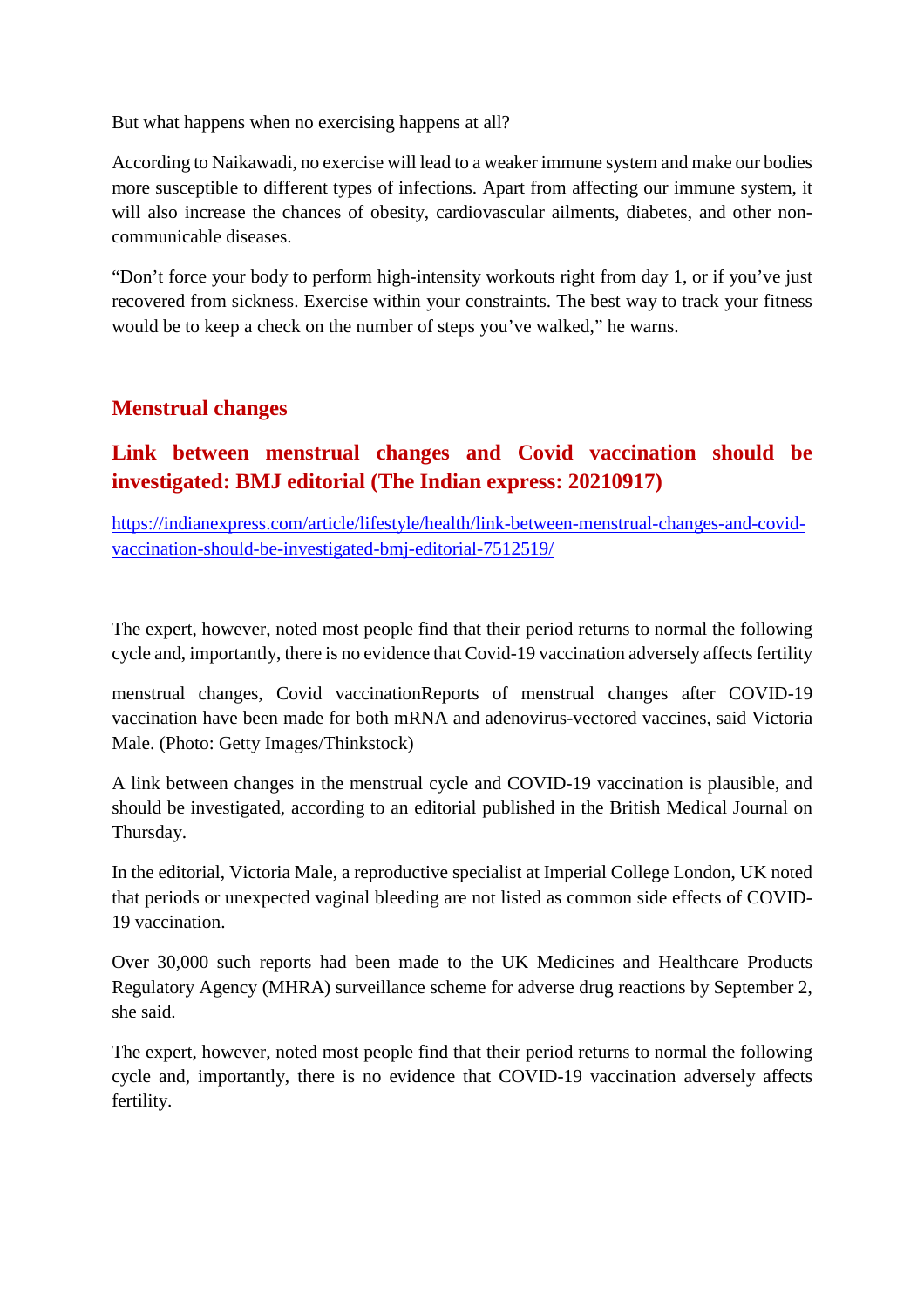But what happens when no exercising happens at all?

According to Naikawadi, no exercise will lead to a weaker immune system and make our bodies more susceptible to different types of infections. Apart from affecting our immune system, it will also increase the chances of obesity, cardiovascular ailments, diabetes, and other noncommunicable diseases.

"Don't force your body to perform high-intensity workouts right from day 1, or if you've just recovered from sickness. Exercise within your constraints. The best way to track your fitness would be to keep a check on the number of steps you've walked," he warns.

#### **Menstrual changes**

#### **Link between menstrual changes and Covid vaccination should be investigated: BMJ editorial (The Indian express: 20210917)**

https://indianexpress.com/article/lifestyle/health/link-between-menstrual-changes-and-covidvaccination-should-be-investigated-bmj-editorial-7512519/

The expert, however, noted most people find that their period returns to normal the following cycle and, importantly, there is no evidence that Covid-19 vaccination adversely affects fertility

menstrual changes, Covid vaccinationReports of menstrual changes after COVID-19 vaccination have been made for both mRNA and adenovirus-vectored vaccines, said Victoria Male. (Photo: Getty Images/Thinkstock)

A link between changes in the menstrual cycle and COVID-19 vaccination is plausible, and should be investigated, according to an editorial published in the British Medical Journal on Thursday.

In the editorial, Victoria Male, a reproductive specialist at Imperial College London, UK noted that periods or unexpected vaginal bleeding are not listed as common side effects of COVID-19 vaccination.

Over 30,000 such reports had been made to the UK Medicines and Healthcare Products Regulatory Agency (MHRA) surveillance scheme for adverse drug reactions by September 2, she said.

The expert, however, noted most people find that their period returns to normal the following cycle and, importantly, there is no evidence that COVID-19 vaccination adversely affects fertility.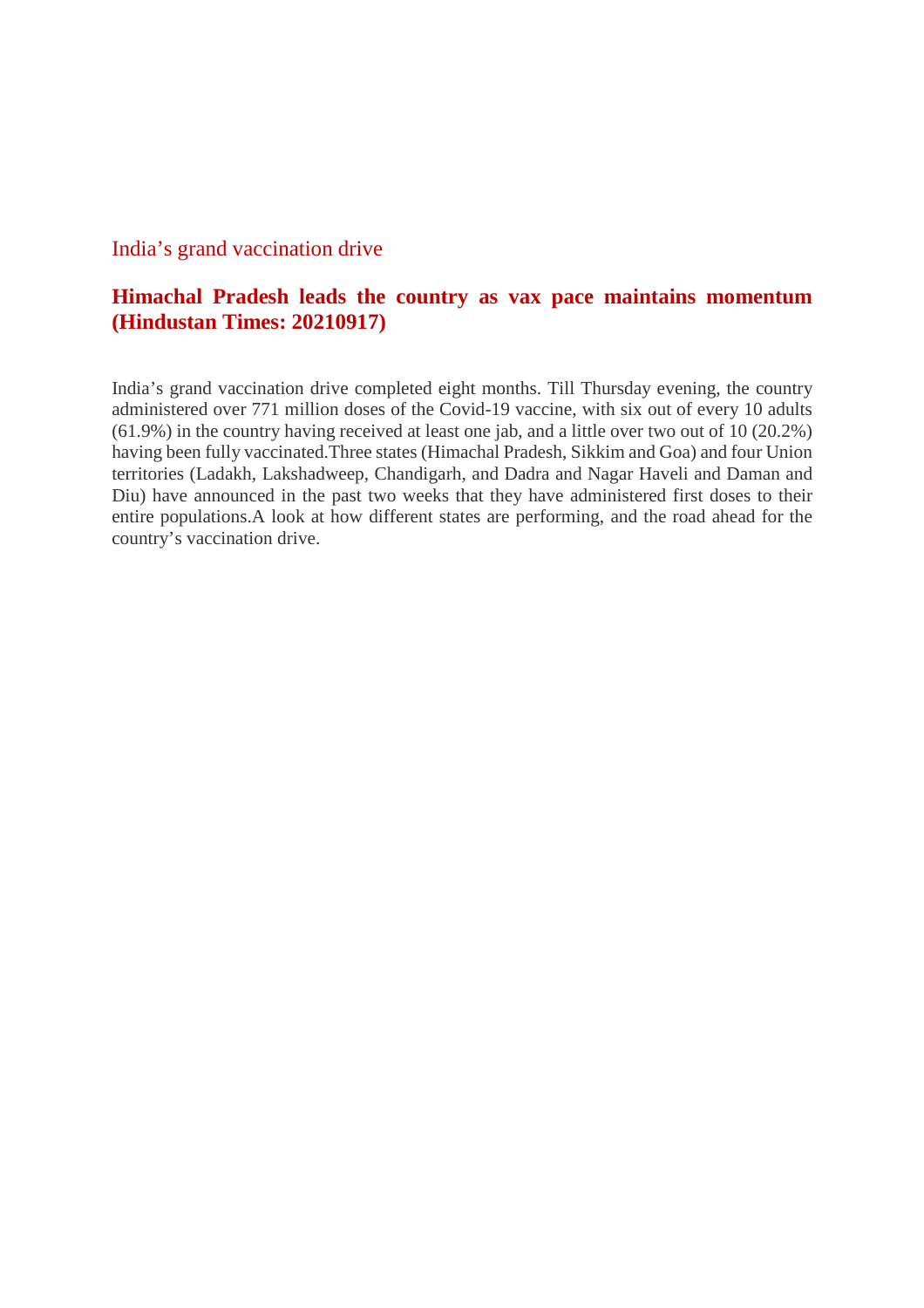#### India's grand vaccination drive

#### **Himachal Pradesh leads the country as vax pace maintains momentum (Hindustan Times: 20210917)**

India's grand vaccination drive completed eight months. Till Thursday evening, the country administered over 771 million doses of the Covid-19 vaccine, with six out of every 10 adults (61.9%) in the country having received at least one jab, and a little over two out of 10 (20.2%) having been fully vaccinated.Three states (Himachal Pradesh, Sikkim and Goa) and four Union territories (Ladakh, Lakshadweep, Chandigarh, and Dadra and Nagar Haveli and Daman and Diu) have announced in the past two weeks that they have administered first doses to their entire populations.A look at how different states are performing, and the road ahead for the country's vaccination drive.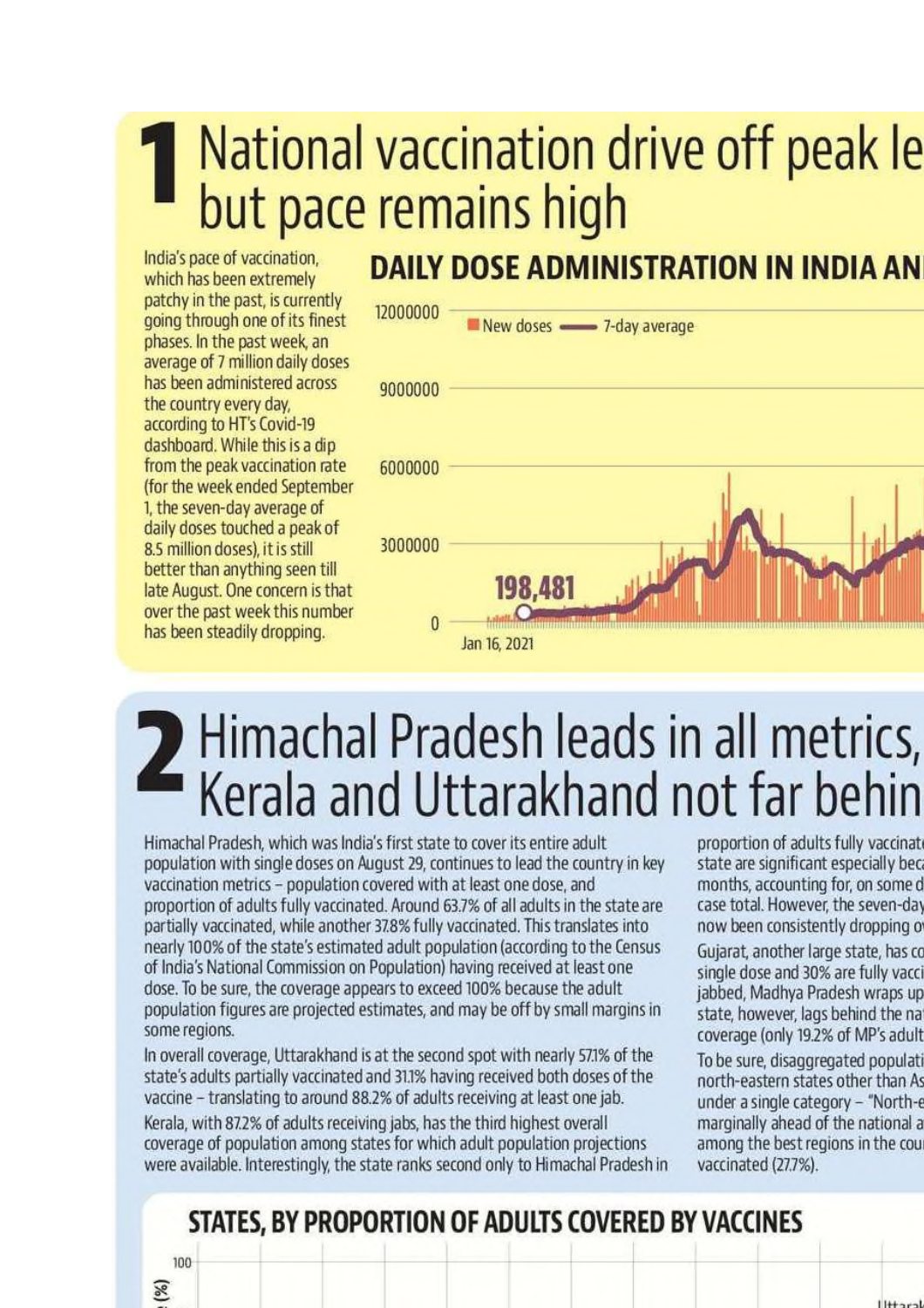# National vaccination drive off peak le but pace remains high

India's pace of vaccination, which has been extremely patchy in the past, is currently going through one of its finest phases. In the past week, an average of 7 million daily doses has been administered across the country every day. according to HT's Covid-19 dashboard. While this is a dip from the peak vaccination rate (for the week ended September 1, the seven-day average of daily doses touched a peak of 8.5 million doses), it is still better than anything seen till late August. One concern is that over the past week this number has been steadily dropping.

### **DAILY DOSE ADMINISTRATION IN INDIA AN**



# 2 Himachal Pradesh leads in all metrics,<br>Kerala and Uttarakhand not far behin

Himachal Pradesh, which was India's first state to cover its entire adult population with single doses on August 29, continues to lead the country in key vaccination metrics - population covered with at least one dose, and proportion of adults fully vaccinated. Around 63.7% of all adults in the state are partially vaccinated, while another 37.8% fully vaccinated. This translates into nearly 100% of the state's estimated adult population (according to the Census of India's National Commission on Population) having received at least one dose. To be sure, the coverage appears to exceed 100% because the adult population figures are projected estimates, and may be off by small margins in some regions.

In overall coverage, Uttarakhand is at the second spot with nearly 57.1% of the state's adults partially vaccinated and 31.1% having received both doses of the vaccine - translating to around 88.2% of adults receiving at least one jab.

Kerala, with 87.2% of adults receiving jabs, has the third highest overall coverage of population among states for which adult population projections were available. Interestingly, the state ranks second only to Himachal Pradesh in

proportion of adults fully vaccinate state are significant especially bec months, accounting for, on some d case total. However, the seven-day now been consistently dropping of

Gujarat, another large state, has co single dose and 30% are fully vacci jabbed, Madhya Pradesh wraps up state, however, lags behind the na coverage (only 19.2% of MP's adult

To be sure, disaggregated populati north-eastern states other than As under a single category - "North-e marginally ahead of the national a among the best regions in the cou vaccinated (27.7%).

 $1144 - c$ 

## STATES, BY PROPORTION OF ADULTS COVERED BY VACCINES

100

図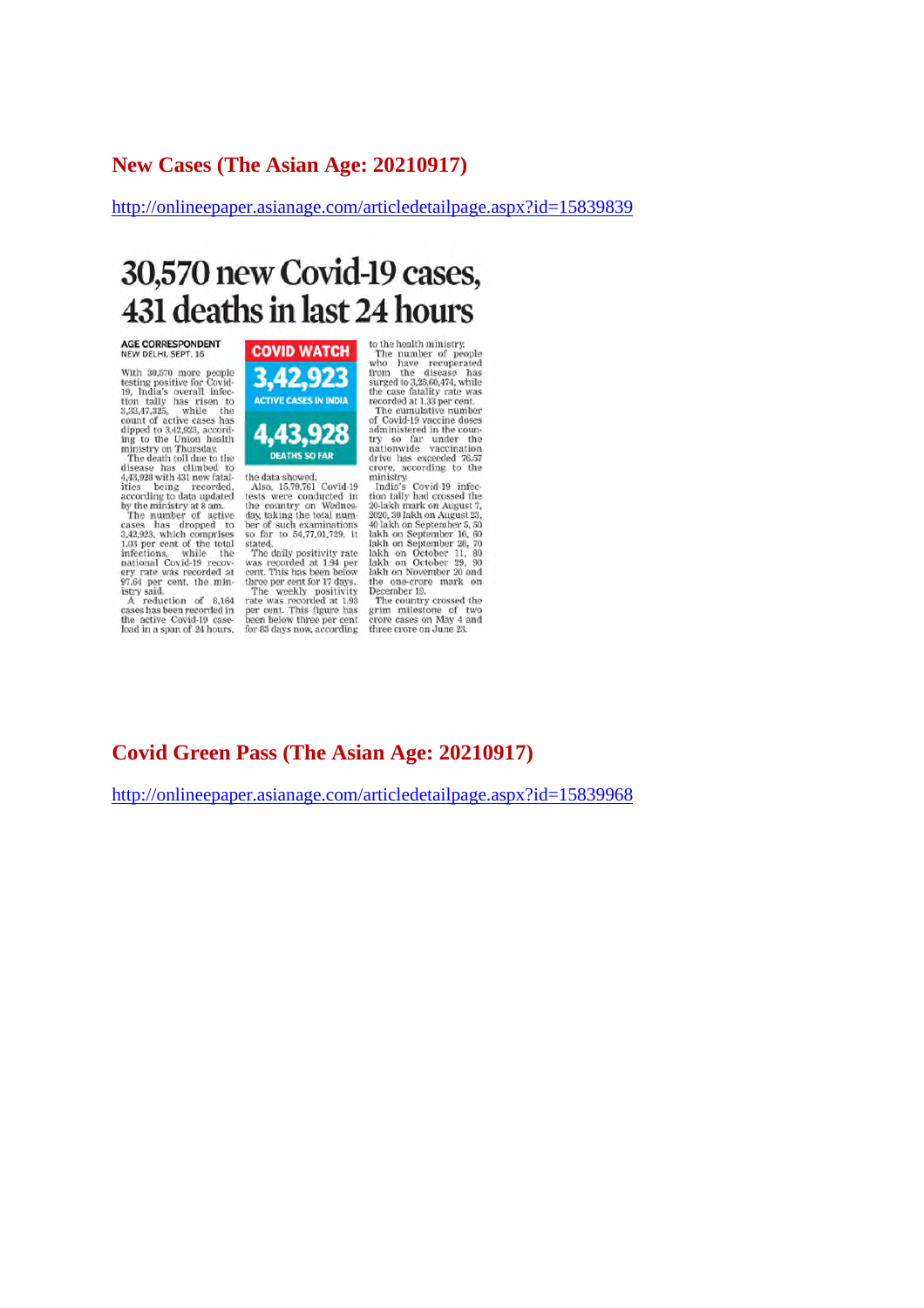#### **New Cases (The Asian Age: 20210917)**

http://onlineepaper.asianage.com/articledetailpage.aspx?id=15839839

# 30,570 new Covid-19 cases, 431 deaths in last 24 hours

AGE CORRESPONDENT<br>NEW DELHI, SEPT. 16

With 30,570 more people<br>testing positive for Covid-<br>19, India's overall infec-<br>tion tally has risen to<br>3,33,47,325, while the<br>3,33,47,325, while the<br>dipped to 3,42,923, accord-<br>injustry on Thursday.<br>The death toll due to

ministry on Trunsacy,<br>The death toll due to the<br>disease has climbed to<br>4.43,392 with 431 new fatal-<br>ities being recorded,<br>according to data updated<br>according to data updated<br>The number of active<br>cases has dropped to<br>nation



the data showed.<br>Also, 15,79,761 Covid-19<br>tests were conducted in<br>the country on Wednes-<br>day, taking the total num-

day, taking the total num-<br>ber of such examinations<br>so far to 54,77,01,729, it<br>stated.<br>The daily positivity rate<br>was recorded at 1.94 per<br>cent. This has been below<br>three per cent for 17 days.<br>The weekly positivity rate<br>pe for 83 days now, according

to the health ministry.<br>The number of people who have recuperated from the disease has<br>surged to 3,25,60,474, while the case fatality rate was<br>recorded at 1,33 per cent.<br>The cumulative number of Could.19 vaccine of Could.

The cumulative number<br>of Covid-19 vaccine doses<br>administered in the coun-<br>try so far under the<br>nationwide vaccination<br>drive has exceeded 76.57 crore, according to the

erore, according to the Infinistry.<br>
Imitative India's Covid-19 infection tally had crossed the 2010-201-2010 and<br>
201-201-201-2010 and August 23, 2020, 30 lakh on September 15, 50<br>
1akh on September 16, 60<br>
1akh on Septe

rakin on November 20 and<br>the one-crore mark on<br>December 19.<br>The country crossed the<br>grim milestone of two<br>crore cases on May 4 and<br>three crore on June 23.

#### **Covid Green Pass (The Asian Age: 20210917)**

http://onlineepaper.asianage.com/articledetailpage.aspx?id=15839968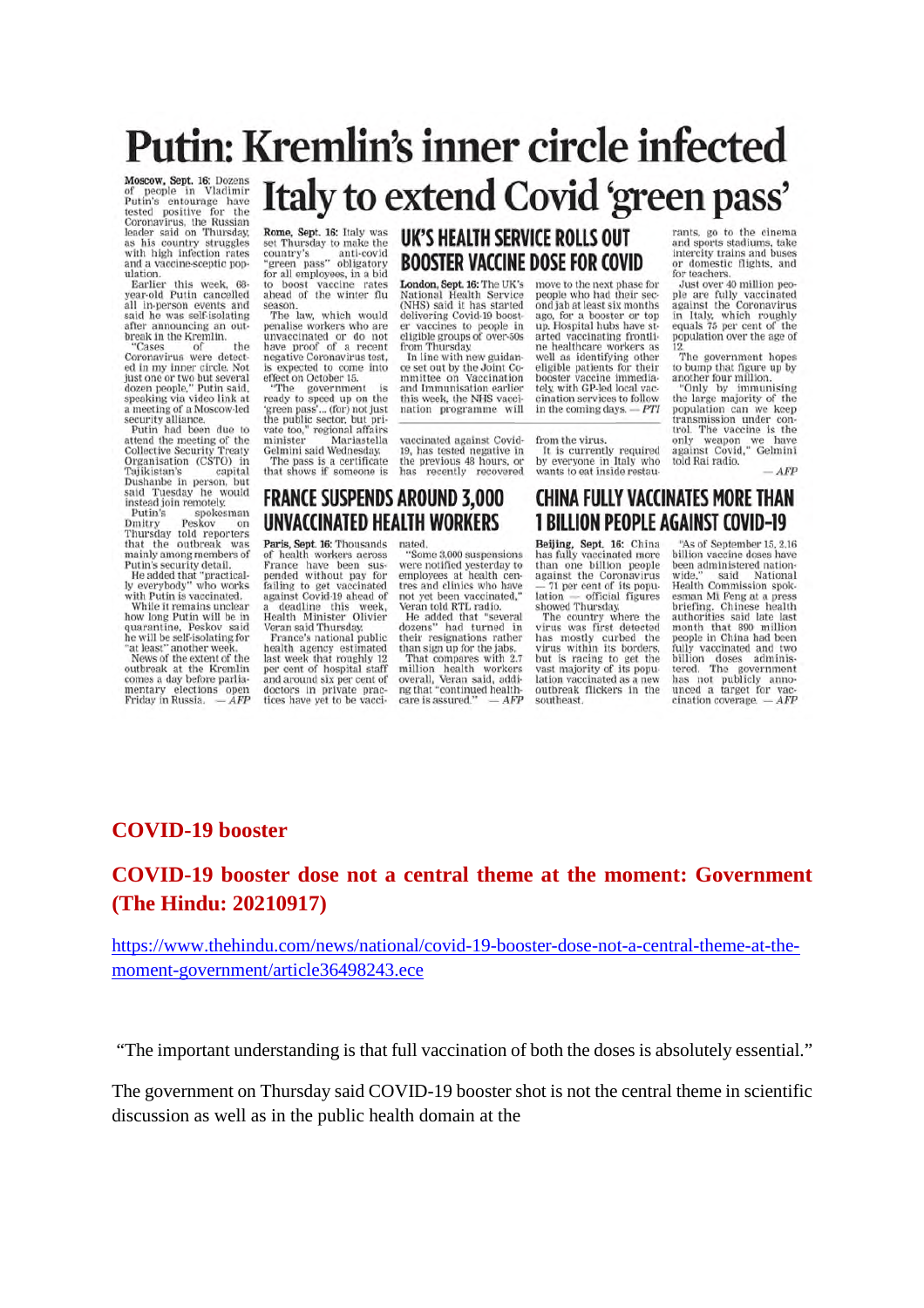# Putin: Kremlin's inner circle infected Italy to extend Covid 'green pass'

Moscow, Sept. 16: Dozens<br>of people in Vladimir<br>Putlin's entourage have<br>tested positive for the<br>Coronavirus, the Russian<br>leader said on Thursday,<br>as his country struggles<br>with high infection rates<br>with a people scenario pan and a vaccine-sceptic pop-

and a vaccine-sceptic pop-<br>ulation.<br>Earlier this week, 68-<br>year-old Putin cancelled all in-person events and<br>said he was self-isolating after announcing an out-<br>break in the Kremlin.

the "Cases of Cases of the<br>Coronavirus were detect-<br>ed in my inner circle. Not just one or two but several<br>dozen people," Putin said,<br>speaking via video link at a meeting of a Moscow-led<br>security alliance.

Putin had been due to attend the meeting of the<br>Collective Security Treaty Organisation (CSTO) in Tajikistan's capital<br>Dushanbe in person, but said Tuesday he would<br>instead join remotely.

msead pointemovery.<br>Putin's spokesman<br>Dmitry Peskov on<br>Thursday told reporters<br>that the outbreak was<br>mainly among members of Putin's security detail.

He added that "practical-<br>ly everybody" who works<br>with Putin is vaccinated. While it remains unclear<br>how long Putin will be in

quarantine, Peskov said<br>he will be self-isolating for "at least" another week at least another week.<br>News of the extent of the<br>outbreak at the Kremlin

comes a day before parlia-<br>mentary elections open<br>Friday in Russia. — AFP

Rome, Sept. 16: Italy was<br>set Thursday to make the<br>country's anti-covid<br>"green pass" obligatory<br>for all employees, in a bid<br>to boost vaccine rates<br>ahead of the winter flu<br>absolute where the

season.<br>The law, which would penalise workers who are<br>unvaccinated or do not<br>have proof of a recent negative Coronavirus test,<br>is expected to come into effect on October 15.

effect on October 15.<br>"The government is<br>ready to speed up on the<br>'green pass'... (for) not just<br>the public sector, but pri-<br>vate too," regional affairs<br>minister Mariastella Gelmini said Wednastella minister Mariastella<br>Gelmini said Wednesday. The pass is a certificate<br>that shows if someone is

London, Sept. 16: The UK's<br>National Health Service<br>(NHS) said it has started<br>delivering Covid-19 booster vaccines to people in<br>eligible groups of over-50s from Thursday.

UK'S HEALTH SERVICE ROLLS OUT

**BOOSTER VACCINE DOSE FOR COVID** 

Irom Thursday.<br>In line with new guidan-<br>ce set out by the Joint Co-<br>mmittee on Vaccination<br>and Immunisation earlier<br>this week, the NHS vaccination programme will

vaccinated against Covid-<br>19, has tested negative in the previous 48 hours, or has recently recovered move to the next phase for people who had their second jab at least six months ago, for a booster or top<br>up. Hospital hubs have st-<br>arted vaccinating frontline healthcare workers as well as identifying other<br>eligible patients for their booster vaccine immedia. tely, with GP-led local vaccination services to follow in the coming days.  $-PTI$ 

#### from the virus It is currently required

by everyone in Italy who<br>wants to eat inside restau-

**CHINA FULLY VACCINATES MORE THAN** 

**1 BILLION PEOPLE AGAINST COVID-19** 

rants, go to the cinema and sports stadiums, take<br>intercity trains and buses or domestic flights, and

for teachers.<br>Just over 40 million peobe are fully vaccinated<br>against the Coronavirus<br>in Italy, which roughly<br>equals 75 per cent of the<br>population over the age of

The government hopes<br>to bump that figure up by another four million.

"Only by immunising<br>the large majority of the population can we keep<br>transmission under con-<br>trol. The vaccine is the only weapon we have<br>against Covid," Gelmini told Rai radio.

AFP

#### **FRANCE SUSPENDS AROUND 3,000** UNVACCINATED HEALTH WORKERS

nated.

Paris, Sept. 16: Thousands<br>of health workers across<br>France have been sus-<br>pended without pay for

failing to get vaccinated<br>against Covid-19 ahead of a deadline this week,<br>Health Minister Olivier Veran said Thursday.<br>France's national public

health agency estimated<br>last week that roughly 12<br>per cent of hospital staff and around six per cent of<br>doctors in private practices have yet to be vacci-

"Some 3,000 suspensions were notified yesterday to<br>employees at health centres and clinics who have

tres and curincs with a<br>red vertical contractions of the added that "several dozens" had turned in<br>their resignations rather<br>their resignations rather than sign up for the jabs. than sign up for the jabs.<br>That compares with 2.7<br>million health workers<br>overall, Veran said, addi-<br>ng that "continued health- $-AFP$ care is assured.'

Beijing, Sept. 16: China<br>has fully vaccinated more<br>than one billion people against the Coronavirus<br>- 71 per cent of its population official figures lation — official figures<br>showed Thursday,<br>The country where the

virus was first detected<br>has mostly curbed the<br>virus within its borders, but is racing to get the vast majority of its population vaccinated as a new<br>outbreak flickers in the southeast.

"As of September 15, 2.16 billion vaccine doses have been administered nationwide," said National<br>Health Commission spok-National esman Mi Feng at a press<br>briefing. Chinese health<br>authorities said late last month that 890 million<br>people in China had been people in china ratio executed and two<br>billion doses administered. The government<br>has not publicly anno-<br>unced a target for vac $c$ ination coverage,  $-AFP$ 

#### **COVID-19 booster**

#### COVID-19 booster dose not a central theme at the moment: Government (The Hindu: 20210917)

https://www.thehindu.com/news/national/covid-19-booster-dose-not-a-central-theme-at-themoment-government/article36498243.ece

"The important understanding is that full vaccination of both the doses is absolutely essential."

The government on Thursday said COVID-19 booster shot is not the central theme in scientific discussion as well as in the public health domain at the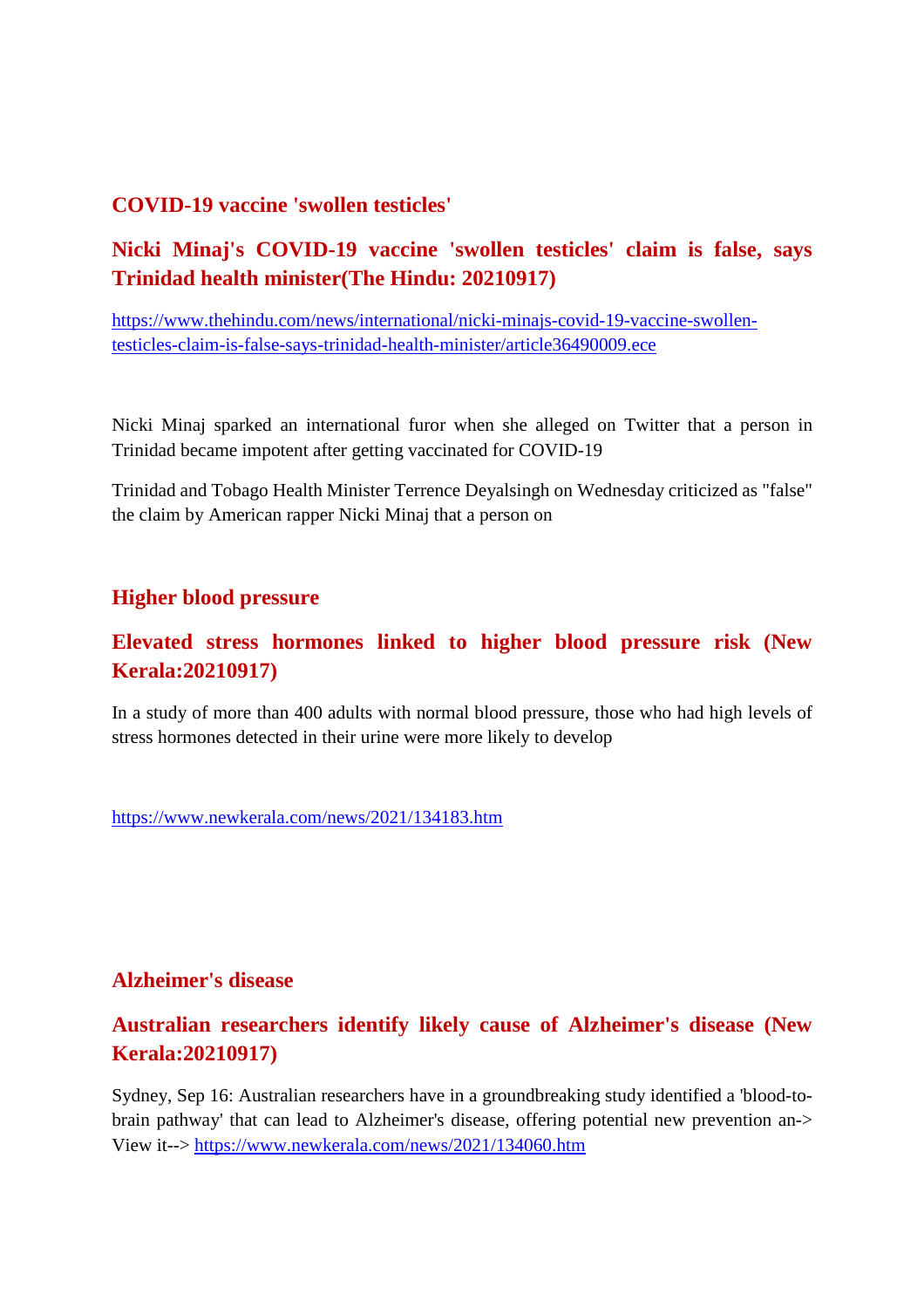#### **COVID-19 vaccine 'swollen testicles'**

#### **Nicki Minaj's COVID-19 vaccine 'swollen testicles' claim is false, says Trinidad health minister(The Hindu: 20210917)**

https://www.thehindu.com/news/international/nicki-minajs-covid-19-vaccine-swollentesticles-claim-is-false-says-trinidad-health-minister/article36490009.ece

Nicki Minaj sparked an international furor when she alleged on Twitter that a person in Trinidad became impotent after getting vaccinated for COVID-19

Trinidad and Tobago Health Minister Terrence Deyalsingh on Wednesday criticized as "false" the claim by American rapper Nicki Minaj that a person on

#### **Higher blood pressure**

#### **Elevated stress hormones linked to higher blood pressure risk (New Kerala:20210917)**

In a study of more than 400 adults with normal blood pressure, those who had high levels of stress hormones detected in their urine were more likely to develop

https://www.newkerala.com/news/2021/134183.htm

#### **Alzheimer's disease**

#### **Australian researchers identify likely cause of Alzheimer's disease (New Kerala:20210917)**

Sydney, Sep 16: Australian researchers have in a groundbreaking study identified a 'blood-tobrain pathway' that can lead to Alzheimer's disease, offering potential new prevention an-> View it--> https://www.newkerala.com/news/2021/134060.htm